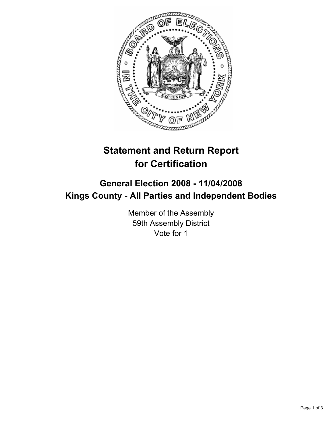

# **Statement and Return Report for Certification**

## **General Election 2008 - 11/04/2008 Kings County - All Parties and Independent Bodies**

Member of the Assembly 59th Assembly District Vote for 1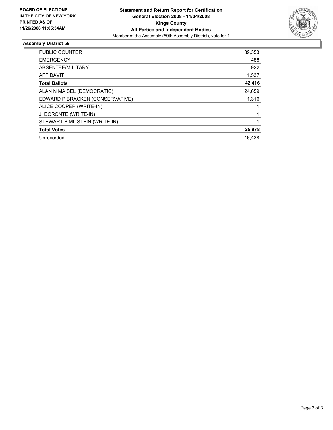

### **Assembly District 59**

| PUBLIC COUNTER                  | 39,353 |
|---------------------------------|--------|
| <b>EMERGENCY</b>                | 488    |
| ABSENTEE/MILITARY               | 922    |
| <b>AFFIDAVIT</b>                | 1,537  |
| <b>Total Ballots</b>            | 42,416 |
| ALAN N MAISEL (DEMOCRATIC)      | 24,659 |
| EDWARD P BRACKEN (CONSERVATIVE) | 1,316  |
| ALICE COOPER (WRITE-IN)         |        |
| J. BORONTE (WRITE-IN)           |        |
| STEWART B MILSTEIN (WRITE-IN)   |        |
| <b>Total Votes</b>              | 25,978 |
| Unrecorded                      | 16,438 |